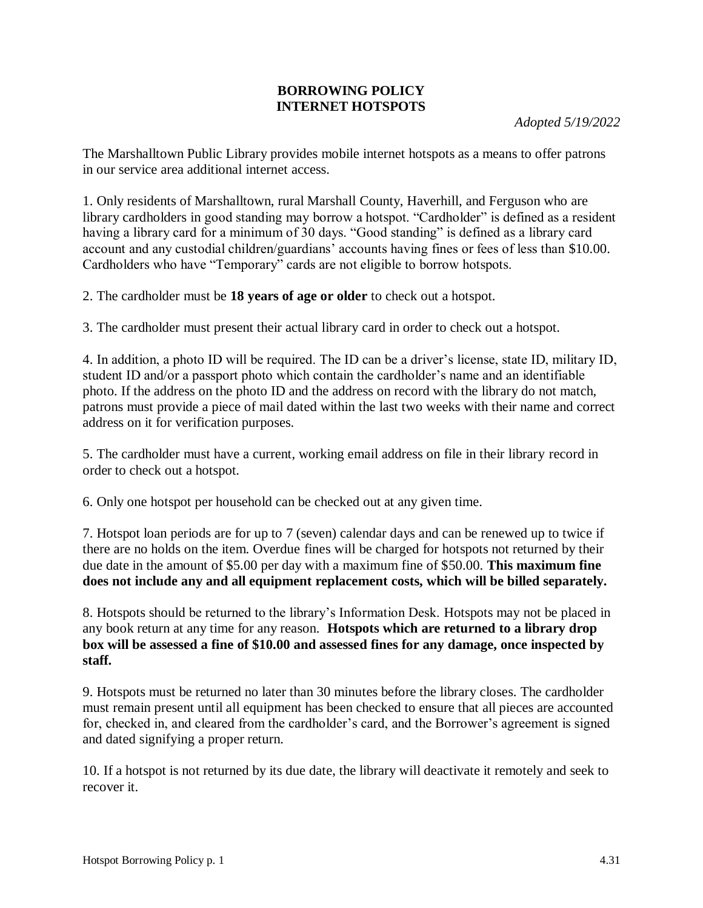## **BORROWING POLICY INTERNET HOTSPOTS**

*Adopted 5/19/2022*

The Marshalltown Public Library provides mobile internet hotspots as a means to offer patrons in our service area additional internet access.

1. Only residents of Marshalltown, rural Marshall County, Haverhill, and Ferguson who are library cardholders in good standing may borrow a hotspot. "Cardholder" is defined as a resident having a library card for a minimum of 30 days. "Good standing" is defined as a library card account and any custodial children/guardians' accounts having fines or fees of less than \$10.00. Cardholders who have "Temporary" cards are not eligible to borrow hotspots.

2. The cardholder must be **18 years of age or older** to check out a hotspot.

3. The cardholder must present their actual library card in order to check out a hotspot.

4. In addition, a photo ID will be required. The ID can be a driver's license, state ID, military ID, student ID and/or a passport photo which contain the cardholder's name and an identifiable photo. If the address on the photo ID and the address on record with the library do not match, patrons must provide a piece of mail dated within the last two weeks with their name and correct address on it for verification purposes.

5. The cardholder must have a current, working email address on file in their library record in order to check out a hotspot.

6. Only one hotspot per household can be checked out at any given time.

7. Hotspot loan periods are for up to 7 (seven) calendar days and can be renewed up to twice if there are no holds on the item. Overdue fines will be charged for hotspots not returned by their due date in the amount of \$5.00 per day with a maximum fine of \$50.00. **This maximum fine does not include any and all equipment replacement costs, which will be billed separately.** 

8. Hotspots should be returned to the library's Information Desk. Hotspots may not be placed in any book return at any time for any reason. **Hotspots which are returned to a library drop box will be assessed a fine of \$10.00 and assessed fines for any damage, once inspected by staff.** 

9. Hotspots must be returned no later than 30 minutes before the library closes. The cardholder must remain present until all equipment has been checked to ensure that all pieces are accounted for, checked in, and cleared from the cardholder's card, and the Borrower's agreement is signed and dated signifying a proper return.

10. If a hotspot is not returned by its due date, the library will deactivate it remotely and seek to recover it.